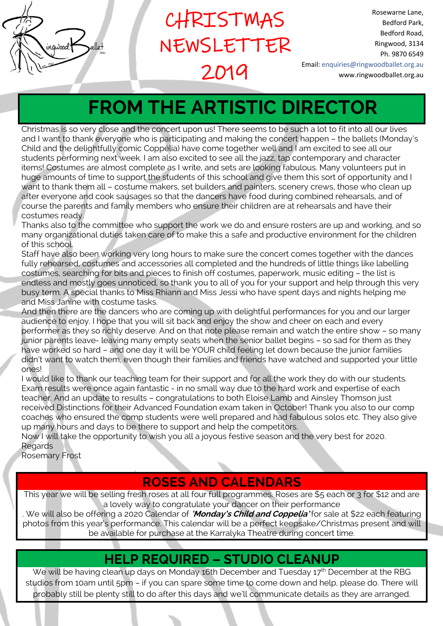| inquood.<br>αι<br>inc. |
|------------------------|
|                        |

CHRISTMAS NEWSLETTER 2019

Rosewarne Lane, Bedford Park, Bedford Road, Ringwood, 3134 Ph. 9870 6549 Email: enquiries@ringwoodballet.org.au www.ringwoodballet.org.au

# **FROM THE ARTISTIC DIRECTOR** Ē

Christmas is so very close and the concert upon us! There seems to be such a lot to fit into all our lives and I want to thank everyone who is participating and making the concert happen – the ballets (Monday's Child and the delightfully comic Coppélia) have come together well and I am excited to see all our students performing next week. I am also excited to see all the jazz, tap contemporary and character items! Costumes are almost complete as I write, and sets are looking fabulous. Many volunteers put in huge amounts of time to support the students of this school and give them this sort of opportunity and I want to thank them all – costume makers, set builders and painters, scenery crews, those who clean up after everyone and cook sausages so that the dancers have food during combined rehearsals, and of course the parents and family members who ensure their children are at rehearsals and have their costumes ready.

Thanks also to the committee who support the work we do and ensure rosters are up and working, and so many organizational duties taken care of to make this a safe and productive environment for the children of this school.

Staff have also been working very long hours to make sure the concert comes together with the dances fully rehearsed, costumes and accessories all completed and the hundreds of little things like labelling costumes, searching for bits and pieces to finish off costumes, paperwork, music editing – the list is endless and mostly goes unnoticed, so thank you to all of you for your support and help through this very busy term. A special thanks to Miss Rhiann and Miss Jessi who have spent days and nights helping me and Miss Janine with costume tasks.

And then there are the dancers who are coming up with delightful performances for you and our larger audience to enjoy. I hope that you will sit back and enjoy the show and cheer on each and every performer as they so richly deserve. And on that note please remain and watch the entire show – so many junior parents leave- leaving many empty seats when the senior ballet begins – so sad for them as they have worked so hard – and one day it will be YOUR child feeling let down because the junior families didn't want to watch them, even though their families and friends have watched and supported your little ones!

I would like to thank our teaching team for their support and for all the work they do with our students. Exam results were once again fantastic - in no small way due to the hard work and expertise of each teacher. And an update to results – congratulations to both Eloise Lamb and Ainsley Thomson just received Distinctions for their Advanced Foundation exam taken in October! Thank you also to our comp coaches who ensured the comp students were well prepared and had fabulous solos etc. They also give up many hours and days to be there to support and help the competitors.

Now I will take the opportunity to wish you all a joyous festive season and the very best for 2020. **Regards** 

Rosemary Frost

# **ROSES AND CALENDARS**

This year we will be selling fresh roses at all four full programmes. Roses are \$5 each or 3 for \$12 and are a lovely way to congratulate your dancer on their performance

. We will also be offering a 2020 Calendar of **'Monday's Child and Coppelia'** for sale at \$22 each featuring photos from this year's performance. This calendar will be a perfect keepsake/Christmas present and will be available for purchase at the Karralyka Theatre during concert time.

## **HELP REQUIRED – STUDIO CLEANUP**

We will be having clean up days on Monday 16th December and Tuesday 17<sup>th</sup> December at the RBG studios from 10am until 5pm – if you can spare some time to come down and help, please do. There will probably still be plenty still to do after this days and we'll communicate details as they are arranged.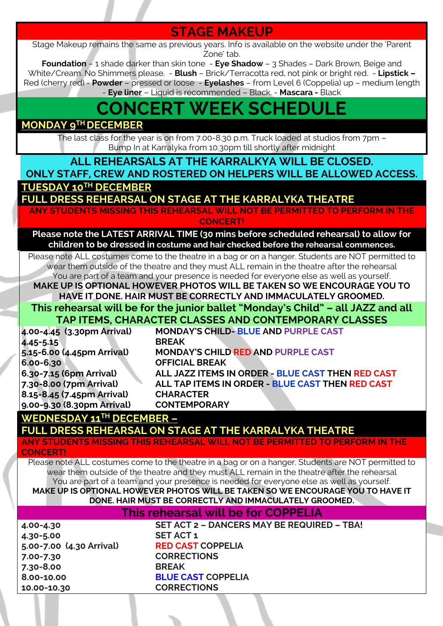# **STAGE MAKEUP**

Stage Makeup remains the same as previous years. Info is available on the website under the 'Parent Zone' tab.

**Foundation** – 1 shade darker than skin tone - **Eye Shadow** – 3 Shades – Dark Brown, Beige and White/Cream. No Shimmers please. - **Blush** – Brick/Terracotta red, not pink or bright red. - **Lipstick –** Red (cherry red) - **Powder** – pressed or loose - **Eyelashes** – from Level 6 (Coppelia) up – medium length - **Eye liner** – Liquid is recommended – Black. - **Mascara -** Black

# **CONCERT WEEK SCHEDULE**

#### **MONDAY 9TH DECEMBER**

The last class for the year is on from 7.00-8.30 p.m. Truck loaded at studios from 7pm – Bump In at Karralyka from 10.30pm till shortly after midnight

**ALL REHEARSALS AT THE KARRALKYA WILL BE CLOSED.** 

**ONLY STAFF, CREW AND ROSTERED ON HELPERS WILL BE ALLOWED ACCESS. TUESDAY 10TH DECEMBER**

**FULL DRESS REHEARSAL ON STAGE AT THE KARRALYKA THEATRE**

**ANY STUDENTS MISSING THIS REHEARSAL WILL NOT BE PERMITTED TO PERFORM IN THE CONCERT!**

**Please note the LATEST ARRIVAL TIME (30 mins before scheduled rehearsal) to allow for children to be dressed in costume and hair checked before the rehearsal commences.**

Please note ALL costumes come to the theatre in a bag or on a hanger. Students are NOT permitted to wear them outside of the theatre and they must ALL remain in the theatre after the rehearsal You are part of a team and your presence is needed for everyone else as well as yourself.

**MAKE UP IS OPTIONAL HOWEVER PHOTOS WILL BE TAKEN SO WE ENCOURAGE YOU TO HAVE IT DONE. HAIR MUST BE CORRECTLY AND IMMACULATELY GROOMED.**

#### **This rehearsal will be for the junior ballet "Monday's Child" – all JAZZ and all TAP ITEMS, CHARACTER CLASSES AND CONTEMPORARY CLASSES**

|                            | TAN TILETIST SINAN VULEN SENSSES ANNO SSINTETII SINAN I SEAN |
|----------------------------|--------------------------------------------------------------|
| 4.00-4.45 (3.30pm Arrival) | <b>MONDAY'S CHILD- BLUE AND PURPLE CAST</b>                  |
| 4.45-5.15                  | <b>BREAK</b>                                                 |
| 5.15-6.00 (4.45pm Arrival) | MONDAY'S CHILD RED AND PURPLE CAST                           |
| 6.00-6.30                  | <b>OFFICIAL BREAK</b>                                        |
| 6.30-7.15 (6pm Arrival)    | ALL JAZZ ITEMS IN ORDER - BLUE CAST THEN RED CAST            |
| 7.30-8.00 (7pm Arrival)    | ALL TAP ITEMS IN ORDER - BLUE CAST THEN RED CAST             |
| 8.15-8.45 (7.45pm Arrival) | <b>CHARACTER</b>                                             |
| 9.00-9.30 (8.30pm Arrival) | <b>CONTEMPORARY</b>                                          |

#### **WEDNESDAY 11TH DECEMBER –**

**FULL DRESS REHEARSAL ON STAGE AT THE KARRALYKA THEATRE**

**ANY STUDENTS MISSING THIS REHEARSAL WILL NOT BE PERMITTED TO PERFORM IN THE CONCERT!**

Please note ALL costumes come to the theatre in a bag or on a hanger. Students are NOT permitted to wear them outside of the theatre and they must ALL remain in the theatre after the rehearsal You are part of a team and your presence is needed for everyone else as well as yourself. **MAKE UP IS OPTIONAL HOWEVER PHOTOS WILL BE TAKEN SO WE ENCOURAGE YOU TO HAVE IT** 

**DONE. HAIR MUST BE CORRECTLY AND IMMACULATELY GROOMED.**

#### **This rehearsal will be for COPPELIA**

**4.30-5.00 SET ACT 1 5.00-7.00 (4.30 Arrival) RED CAST COPPELIA 7.00-7.30 CORRECTIONS 7.30-8.00 BREAK 8.00-10.00 BLUE CAST COPPELIA 10.00-10.30 CORRECTIONS**

**4.00-4.30 SET ACT 2 – DANCERS MAY BE REQUIRED – TBA!**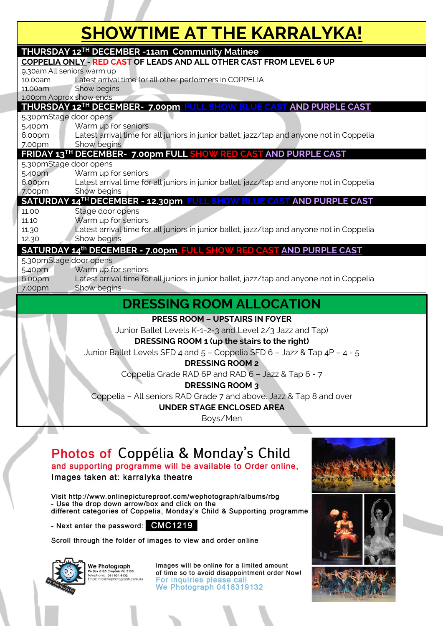# **SHOWTIME AT THE KARRALYKA!**

| <b>THURSDAY 12TH DECEMBER -11am Community Matinee</b>                |                                                                                                          |  |
|----------------------------------------------------------------------|----------------------------------------------------------------------------------------------------------|--|
| COPPELIA ONLY - RED CAST OF LEADS AND ALL OTHER CAST FROM LEVEL 6 UP |                                                                                                          |  |
| 9.30am All seniors warm up                                           |                                                                                                          |  |
| 10.00am                                                              | Latest arrival time for all other performers in COPPELIA                                                 |  |
| 11.00am<br>1.00pm Approx show ends                                   | Show begins                                                                                              |  |
|                                                                      | THURSDAY 12TH DECEMBER- 7.00pm. FUI<br><b>AND PURPLE CAST</b><br><b>CAST</b>                             |  |
| 5.30pmStage door opens                                               |                                                                                                          |  |
| 5.40pm                                                               | Warm up for seniors                                                                                      |  |
| 6.00pm                                                               | Latest arrival time for all juniors in junior ballet, jazz/tap and anyone not in Coppelia                |  |
| 7.00pm                                                               | Show begins                                                                                              |  |
|                                                                      | FRIDAY 13TH DECEMBER- 7.00pm FULL SHOW RED CAST AND PURPLE CAST                                          |  |
| 5.30pmStage door opens                                               |                                                                                                          |  |
| 5.40pm                                                               | Warm up for seniors                                                                                      |  |
| 6.00pm                                                               | Latest arrival time for all juniors in junior ballet, jazz/tap and anyone not in Coppelia                |  |
| 7.00pm                                                               | Show begins                                                                                              |  |
|                                                                      | SATURDAY 14TH DECEMBER - 12.30pm FULL SHOW<br><b>AND PURPLE CAST</b><br><b>BLUE CAST</b>                 |  |
| 11.00                                                                | Stage door opens                                                                                         |  |
| 11.10                                                                | Warm up for seniors                                                                                      |  |
| 11.30                                                                | Latest arrival time for all juniors in junior ballet, jazz/tap and anyone not in Coppelia<br>Show begins |  |
| 12.30                                                                |                                                                                                          |  |
|                                                                      | SATURDAY 14th DECEMBER - 7.00pm. FULL SHOW RED CAST AND PURPLE CAST                                      |  |
| 5.30pmStage door opens                                               |                                                                                                          |  |
| 5.40pm                                                               | Warm up for seniors                                                                                      |  |
| 6.00pm                                                               | Latest arrival time for all juniors in junior ballet, jazz/tap and anyone not in Coppelia                |  |
| 7.00pm                                                               | Show begins                                                                                              |  |
| <b>DRESSING ROOM ALLOCATION</b>                                      |                                                                                                          |  |
|                                                                      | <b>PRESS ROOM - UPSTAIRS IN FOYER</b>                                                                    |  |
|                                                                      | Junior Ballet Levels K-1-2-3 and Level 2/3 Jazz and Tap)                                                 |  |
|                                                                      | DRESSING ROOM 1 (up the stairs to the right)                                                             |  |
|                                                                      | Junior Ballet Levels SFD 4 and 5 - Coppelia SFD 6 - Jazz & Tap 4P - 4 - 5                                |  |
|                                                                      | <b>DRESSING ROOM 2</b>                                                                                   |  |
|                                                                      |                                                                                                          |  |
|                                                                      | Coppelia Grade RAD 6P and RAD 6 - Jazz & Tap 6 - 7                                                       |  |
|                                                                      | <b>DRESSING ROOM 3</b>                                                                                   |  |

Coppelia – All seniors RAD Grade 7 and above. Jazz & Tap 8 and over

**UNDER STAGE ENCLOSED AREA**

Boys/Men

# Photos of Coppélia & Monday's Child

and supporting programme will be available to Order online, Images taken at: karralyka theatre

Visit http://www.onlinepictureproof.com/wephotograph/albums/rbg - Use the drop down arrow/box and click on the different categories of Coppelia, Monday's Child & Supporting programme

- Next enter the password: CMC1219

Scroll through the folder of images to view and order online



We Photograph FIDIOGIUPII<br>8105 Croydon Vic 3136<br>PDE: 041 831 9132<br>Ifo@wephotograph.co Images will be online for a limited amount of time so to avoid disappointment order Now! For inquiries please call We Photograph 0418319132





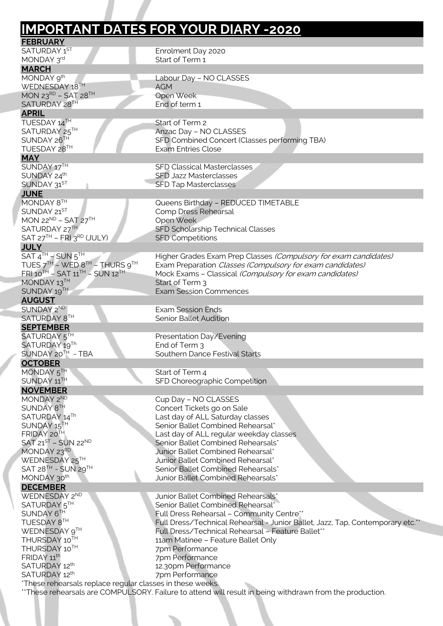|                                                                      | <b>IMPORTANT DATES FOR YOUR DIARY -2020</b>                                                                          |
|----------------------------------------------------------------------|----------------------------------------------------------------------------------------------------------------------|
| <b>FEBRUARY</b>                                                      |                                                                                                                      |
| SATURDAY 1ST                                                         | Enrolment Day 2020                                                                                                   |
| MONDAY 3rd                                                           | Start of Term 1                                                                                                      |
| <b>MARCH</b><br>MONDAY 9th                                           | Labour Day - NO CLASSES                                                                                              |
| WEDNESDAY 18TH                                                       | <b>AGM</b>                                                                                                           |
| MON 23RD - SAT 28TH                                                  | Open Week                                                                                                            |
| SATURDAY 28TH                                                        | End of term 1                                                                                                        |
| <b>APRIL</b>                                                         |                                                                                                                      |
| TUESDAY 14TH                                                         | Start of Term 2                                                                                                      |
| SATURDAY 25TH                                                        | Anzac Day - NO CLASSES                                                                                               |
| SUNDAY 26TH                                                          | SFD Combined Concert (Classes performing TBA)                                                                        |
| TUESDAY 28TH                                                         | <b>Exam Entries Close</b>                                                                                            |
| <b>MAY</b><br>SUNDAY 17TH                                            | <b>SFD Classical Masterclasses</b>                                                                                   |
| SUNDAY 24th                                                          | <b>SFD Jazz Masterclasses</b>                                                                                        |
| SUNDAY 31ST                                                          | <b>SFD Tap Masterclasses</b>                                                                                         |
| <b>JUNE</b>                                                          |                                                                                                                      |
| MONDAY 8TH                                                           | Queens Birthday - REDUCED TIMETABLE                                                                                  |
| SUNDAY 21ST                                                          | Comp Dress Rehearsal                                                                                                 |
| MON 22 <sup>ND</sup> - SAT 27 <sup>TH</sup>                          | Open Week                                                                                                            |
| SATURDAY 27TH                                                        | SFD Scholarship Technical Classes                                                                                    |
| SAT $27TH$ – FRI $3RD$ (JULY)                                        | <b>SFD Competitions</b>                                                                                              |
| <b>JULY</b>                                                          |                                                                                                                      |
| $SAT 4TH - SUN 5TH$<br>TUES $7^{TH}$ – WED $8^{TH}$ – THURS $9^{TH}$ | Higher Grades Exam Prep Classes (Compulsory for exam candidates)                                                     |
| $FRI$ 10 <sup>TH</sup> - SAT 11 <sup>TH</sup> - SUN 12 <sup>TH</sup> | Exam Preparation Classes (Compulsory for exam candidates)<br>Mock Exams - Classical (Compulsory for exam candidates) |
| MONDAY 13TH                                                          | Start of Term 3                                                                                                      |
| SUNDAY 19TH                                                          | <b>Exam Session Commences</b>                                                                                        |
| <b>AUGUST</b>                                                        |                                                                                                                      |
| SUNDAY 2ND                                                           | <b>Exam Session Ends</b>                                                                                             |
| SATURDAY 8TH                                                         | <b>Senior Ballet Audition</b>                                                                                        |
| <b>SEPTEMBER</b>                                                     |                                                                                                                      |
| SATURDAY 5 <sup>IH</sup>                                             | Presentation Day/Evening                                                                                             |
| SATURDAY 19Th                                                        | End of Term 3                                                                                                        |
| SUNDAY 20TH - TBA                                                    | Southern Dance Festival Starts                                                                                       |
| <b>OCTOBER</b>                                                       |                                                                                                                      |
| MONDAY 5TH<br>SUNDAY 11TH                                            | Start of Term 4                                                                                                      |
|                                                                      | SFD Choreographic Competition                                                                                        |
| <b>NOVEMBER</b><br>MONDAY 2ND                                        | Cup Day - NO CLASSES                                                                                                 |
| SUNDAY 8TH                                                           | Concert Tickets go on Sale                                                                                           |
| SATURDAY 14Th                                                        | Last day of ALL Saturday classes                                                                                     |
| SUNDAY 15TH                                                          | Senior Ballet Combined Rehearsal*                                                                                    |
| FRIDAY 20TH                                                          | Last day of ALL regular weekday classes                                                                              |
| $SAT 21ST - SUN 22ND$                                                | Senior Ballet Combined Rehearsals*                                                                                   |
| MONDAY 23RD                                                          | Junior Ballet Combined Rehearsal*                                                                                    |
| WEDNESDAY 25TH                                                       | Junior Ballet Combined Rehearsal*                                                                                    |
| SAT 28 <sup>TH</sup> - SUN 29TH                                      | Senior Ballet Combined Rehearsals*                                                                                   |
| MONDAY 30 <sup>th</sup>                                              | Junior Ballet Combined Rehearsals*                                                                                   |
| <b>DECEMBER</b>                                                      |                                                                                                                      |
| WEDNESDAY 2ND<br>SATURDAY 5TH                                        | Junior Ballet Combined Rehearsals*<br>Senior Ballet Combined Rehearsal*                                              |
|                                                                      | Full Dress Rehearsal - Community Centre**                                                                            |
|                                                                      | Full Dress/Technical Rehearsal - Junior Ballet, Jazz, Tap, Contemporary etc. <sup>*</sup>                            |
| SUNDAY 6TH                                                           |                                                                                                                      |
| TUESDAY 8TH                                                          |                                                                                                                      |
| WEDNESDAY 9TH<br>THURSDAY 10TH                                       | Full Dress/Technical Rehearsal - Feature Ballet**                                                                    |
| THURSDAY 10TH                                                        | 11am Matinee - Feature Ballet Only<br>7pm Performance                                                                |
| FRIDAY 11 <sup>th</sup>                                              | 7pm Performance                                                                                                      |
| SATURDAY 12th<br>SATURDAY 12th                                       | 12.30pm Performance<br>7pm Performance                                                                               |

i,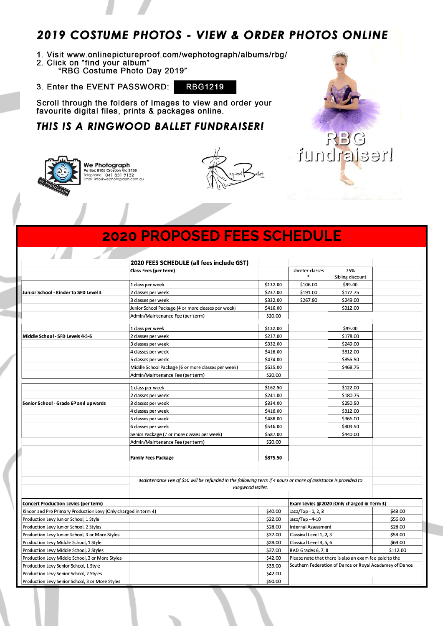### 2019 COSTUME PHOTOS - VIEW & ORDER PHOTOS ONLINE

- 1. Visit www.onlinepictureproof.com/wephotograph/albums/rbg/
- 2. Click on "find your album"<br>"RBG Costume Photo Day 2019"
- 3. Enter the EVENT PASSWORD: **RBG1219**

Scroll through the folders of Images to view and order your favourite digital files, prints & packages online.

#### THIS IS A RINGWOOD BALLET FUNDRAISER!



Æ

A



RBG

Inealstenut

## **2020 PROPOSED FEES SCHEDULE**

|                                                                 | 2020 FEES SCHEDULE (all fees include GST)                                                                      |                  |                                                        |                                                         |          |
|-----------------------------------------------------------------|----------------------------------------------------------------------------------------------------------------|------------------|--------------------------------------------------------|---------------------------------------------------------|----------|
|                                                                 | Class Fees (per term)                                                                                          |                  | shorter classes                                        | 25%                                                     |          |
|                                                                 |                                                                                                                |                  |                                                        | Sibling discount                                        |          |
|                                                                 | 1 class per week                                                                                               | \$132.00         | \$106.00                                               | \$99.00                                                 |          |
| Junior School - Kinder to SFD Level 3                           | 2 classes per week                                                                                             | \$237.00         | \$191.00                                               | \$177.75                                                |          |
|                                                                 | 3 classes per week                                                                                             | \$332.00         | \$267.80                                               | \$249.00                                                |          |
|                                                                 | Junior School Package (4 or more classes per week)                                                             | \$416.00         |                                                        | \$312.00                                                |          |
|                                                                 | Admin/Maintenance Fee (per term)                                                                               | \$20.00          |                                                        |                                                         |          |
|                                                                 |                                                                                                                |                  |                                                        |                                                         |          |
|                                                                 | 1 class per week                                                                                               | \$132.00         |                                                        | \$99.00                                                 |          |
| Middle School - SFD Levels 4-5-6                                | 2 classes per week                                                                                             | \$237.00         |                                                        | \$178.00                                                |          |
|                                                                 | 3 classes per week                                                                                             | \$332.00         |                                                        | \$249.00                                                |          |
|                                                                 | 4 classes per week                                                                                             | \$416.00         |                                                        | \$312.00                                                |          |
|                                                                 | 5 classes per week                                                                                             | \$474.00         |                                                        | \$355.50                                                |          |
|                                                                 | Middle School Package (6 or more classes per week)                                                             | \$625.00         |                                                        | \$468.75                                                |          |
|                                                                 | Admin/Maintenance Fee (per term)                                                                               | \$20.00          |                                                        |                                                         |          |
|                                                                 | 1 class per week                                                                                               | \$162.50         |                                                        | \$122.00                                                |          |
|                                                                 | 2 classes per week                                                                                             | \$241.00         |                                                        | \$180.75                                                |          |
| Senior School - Grade 6P and upwards                            | 3 classes per week                                                                                             | \$334.00         |                                                        | \$250.50                                                |          |
|                                                                 | 4 classes per week                                                                                             | \$416.00         |                                                        | \$312.00                                                |          |
|                                                                 | 5 classes per week                                                                                             | \$488.00         |                                                        | \$366.00                                                |          |
|                                                                 | 6 classes per week                                                                                             | \$546.00         |                                                        | \$409.50                                                |          |
|                                                                 | Senior Package (7 or more classes per week)                                                                    | \$587.00         |                                                        | \$440.00                                                |          |
|                                                                 | Admin/Maintenance Fee (per term)                                                                               | \$20.00          |                                                        |                                                         |          |
|                                                                 |                                                                                                                |                  |                                                        |                                                         |          |
|                                                                 | <b>Family Fees Package</b>                                                                                     | \$875.50         |                                                        |                                                         |          |
|                                                                 |                                                                                                                |                  |                                                        |                                                         |          |
|                                                                 | Maintenance Fee of \$50 will be refunded in the following term if 4 hours or more of assistance is provided to |                  |                                                        |                                                         |          |
|                                                                 |                                                                                                                | Ringwood Ballet. |                                                        |                                                         |          |
| <b>Concert Production Levies (per term)</b>                     |                                                                                                                |                  | Exam Levies @2020 (Only charged in Term 3)             |                                                         |          |
| Kinder and Pre Primary Production Levy (Only charged in term 4) |                                                                                                                | \$40.00          | Jazz/Tap - 1, 2, 3                                     |                                                         | \$43.00  |
| Production Levy Junior School, 1 Style                          |                                                                                                                | \$22.00          | Jazz/Tap - 4-10                                        |                                                         | \$56.00  |
| Production Levy Junior School, 2 Styles                         |                                                                                                                | \$28.00          | <b>Internal Assessment</b>                             |                                                         | \$28.00  |
| Production Levy Junior School, 3 or More Styles                 |                                                                                                                | \$37.00          | Classical Level 1, 2, 3                                |                                                         | \$54.00  |
| Production Levy Middle School, 1 Style                          |                                                                                                                | \$28.00          | Classical Level 4, 5, 6                                |                                                         | \$69.00  |
| Production Levy Middle School, 2 Styles                         |                                                                                                                | \$37.00          | RAD Grades 6, 7, 8                                     |                                                         | \$112.00 |
| Production Levy Middle School, 3 or More Styles                 |                                                                                                                | \$42.00          | Please note that there is also an exam fee paid to the |                                                         |          |
| Production Levy Senior School, 1 Style                          |                                                                                                                | \$35.00          |                                                        | Southern Federation of Dance or Royal Acadamey of Dance |          |
| Production Levy Senior School, 2 Styles                         |                                                                                                                | \$42.00          |                                                        |                                                         |          |
| Production Levy Senior School, 3 or More Styles                 |                                                                                                                | \$50.00          |                                                        |                                                         |          |